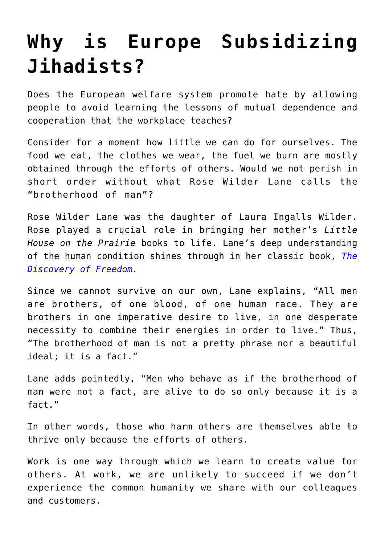## **[Why is Europe Subsidizing](https://intellectualtakeout.org/2017/05/why-is-europe-subsidizing-jihadists/) [Jihadists?](https://intellectualtakeout.org/2017/05/why-is-europe-subsidizing-jihadists/)**

Does the European welfare system promote hate by allowing people to avoid learning the lessons of mutual dependence and cooperation that the workplace teaches?

Consider for a moment how little we can do for ourselves. The food we eat, the clothes we wear, the fuel we burn are mostly obtained through the efforts of others. Would we not perish in short order without what Rose Wilder Lane calls the "brotherhood of man"?

Rose Wilder Lane was the daughter of Laura Ingalls Wilder. Rose played a crucial role in bringing her mother's *Little House on the Prairie* books to life. Lane's deep understanding of the human condition shines through in her classic book, *[The](http://amzn.to/2sa2YVP) [Discovery of Freedom](http://amzn.to/2sa2YVP).*

Since we cannot survive on our own, Lane explains, "All men are brothers, of one blood, of one human race. They are brothers in one imperative desire to live, in one desperate necessity to combine their energies in order to live." Thus, "The brotherhood of man is not a pretty phrase nor a beautiful ideal; it is a fact."

Lane adds pointedly, "Men who behave as if the brotherhood of man were not a fact, are alive to do so only because it is a fact."

In other words, those who harm others are themselves able to thrive only because the efforts of others.

Work is one way through which we learn to create value for others. At work, we are unlikely to succeed if we don't experience the common humanity we share with our colleagues and customers.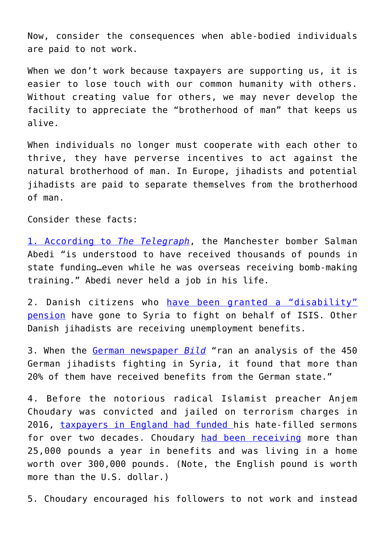Now, consider the consequences when able-bodied individuals are paid to not work.

When we don't work because taxpayers are supporting us, it is easier to lose touch with our common humanity with others. Without creating value for others, we may never develop the facility to appreciate the "brotherhood of man" that keeps us alive.

When individuals no longer must cooperate with each other to thrive, they have perverse incentives to act against the natural brotherhood of man. In Europe, jihadists and potential jihadists are paid to separate themselves from the brotherhood of man.

Consider these facts:

[1. According to](http://www.telegraph.co.uk/news/2017/05/26/exclusive-manchester-suicide-bomber-used-student-loan-benefits/) *[The Telegraph](http://www.telegraph.co.uk/news/2017/05/26/exclusive-manchester-suicide-bomber-used-student-loan-benefits/)*, the Manchester bomber Salman Abedi "is understood to have received thousands of pounds in state funding…even while he was overseas receiving bomb-making training." Abedi never held a job in his life.

2. Danish citizens who [have been granted a "disability"](https://www.thelocal.dk/20170220/danish-is-fighters-paid-disability-benefits-in-syria) [pension](https://www.thelocal.dk/20170220/danish-is-fighters-paid-disability-benefits-in-syria) have gone to Syria to fight on behalf of ISIS. Other Danish jihadists are receiving unemployment benefits.

3. When the [German newspaper](https://www.gatestoneinstitute.org/10022/jihadi-welfare) *[Bild](https://www.gatestoneinstitute.org/10022/jihadi-welfare)* "ran an analysis of the 450 German jihadists fighting in Syria, it found that more than 20% of them have received benefits from the German state."

4. Before the notorious radical Islamist preacher Anjem Choudary was convicted and jailed on terrorism charges in 2016, [taxpayers in England had funded](https://www.theguardian.com/uk-news/2016/sep/06/anjem-choudary-jailed-for-five-years-and-six-months-for-urging-support-of-isis) his hate-filled sermons for over two decades. Choudary [had been receiving](http://www.dailymail.co.uk/news/article-2279972/Anjem-Choudary-Hate-preacher-pocketing-25-000-year-benefits-calls-fanatics-live-state.htm) more than 25,000 pounds a year in benefits and was living in a home worth over 300,000 pounds. (Note, the English pound is worth more than the U.S. dollar.)

5. Choudary encouraged his followers to not work and instead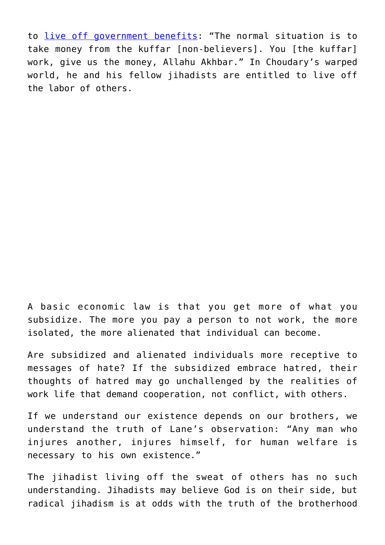to [live off government benefits:](http://www.dailymail.co.uk/news/article-2279972/Anjem-Choudary-Hate-preacher-pocketing-25-000-year-benefits-calls-fanatics-live-state.htm) "The normal situation is to take money from the kuffar [non-believers]. You [the kuffar] work, give us the money, Allahu Akhbar." In Choudary's warped world, he and his fellow jihadists are entitled to live off the labor of others.

A basic economic law is that you get more of what you subsidize. The more you pay a person to not work, the more isolated, the more alienated that individual can become.

Are subsidized and alienated individuals more receptive to messages of hate? If the subsidized embrace hatred, their thoughts of hatred may go unchallenged by the realities of work life that demand cooperation, not conflict, with others.

If we understand our existence depends on our brothers, we understand the truth of Lane's observation: "Any man who injures another, injures himself, for human welfare is necessary to his own existence."

The jihadist living off the sweat of others has no such understanding. Jihadists may believe God is on their side, but radical jihadism is at odds with the truth of the brotherhood